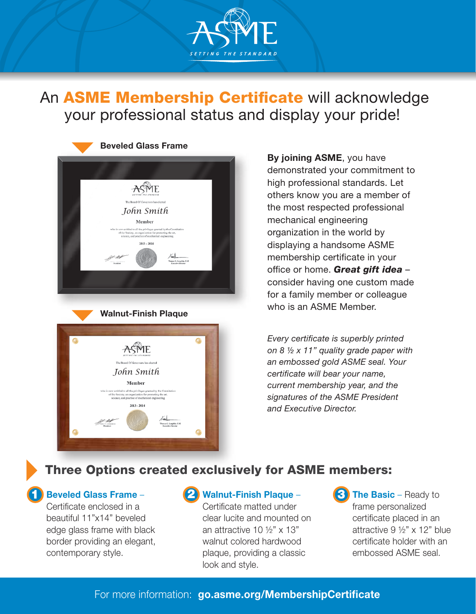

An ASME Membership Certificate will acknowledge your professional status and display your pride!



Member

By joining ASME, you have demonstrated your commitment to high professional standards. Let others know you are a member of the most respected professional mechanical engineering organization in the world by displaying a handsome ASME membership certificate in your office or home. **Great gift idea** consider having one custom made for a family member or colleague who is an ASME Member.

*Every certificate is superbly printed on 8 ½ x 11" quality grade paper with an embossed gold ASME seal. Your certificate will bear your name, current membership year, and the signatures of the ASME President and Executive Director.*

# Three Options created exclusively for ASME members:

### Beveled Glass Frame –

Certificate enclosed in a beautiful 11"x14" beveled edge glass frame with black border providing an elegant, contemporary style.

## 1 Beveled Glass Frame – (2) Walnut-Finish Plaque – (3

Certificate matted under clear lucite and mounted on an attractive 10  $\frac{1}{2}$ " x 13" walnut colored hardwood plaque, providing a classic look and style.

**3** The Basic – Ready to frame personalized certificate placed in an attractive 9 ½" x 12" blue certificate holder with an embossed ASME seal.

## For more information: [go.asme.org/MembershipCertificate](https://www.asme.org/membership/membership-benefits/additional-benefits/membership-certificate)